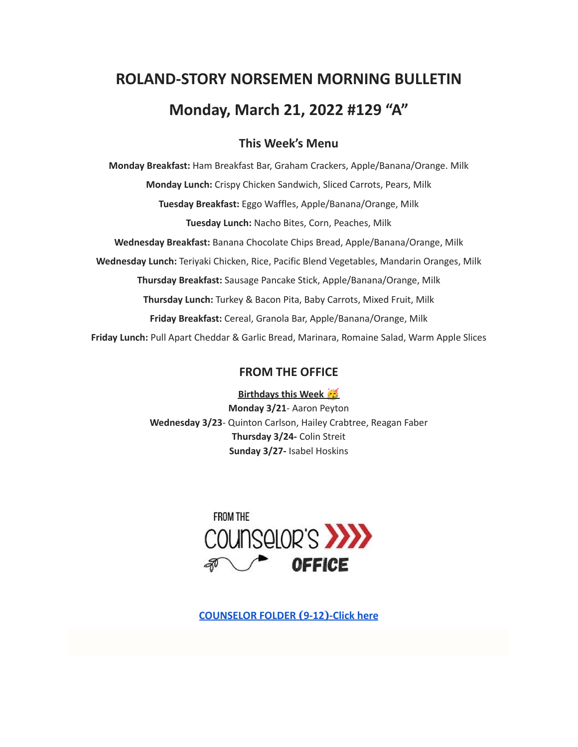# **ROLAND-STORY NORSEMEN MORNING BULLETIN Monday, March 21, 2022 #129 "A"**

# **This Week's Menu**

**Monday Breakfast:** Ham Breakfast Bar, Graham Crackers, Apple/Banana/Orange. Milk **Monday Lunch:** Crispy Chicken Sandwich, Sliced Carrots, Pears, Milk **Tuesday Breakfast:** Eggo Waffles, Apple/Banana/Orange, Milk **Tuesday Lunch:** Nacho Bites, Corn, Peaches, Milk **Wednesday Breakfast:** Banana Chocolate Chips Bread, Apple/Banana/Orange, Milk **Wednesday Lunch:** Teriyaki Chicken, Rice, Pacific Blend Vegetables, Mandarin Oranges, Milk **Thursday Breakfast:** Sausage Pancake Stick, Apple/Banana/Orange, Milk **Thursday Lunch:** Turkey & Bacon Pita, Baby Carrots, Mixed Fruit, Milk **Friday Breakfast:** Cereal, Granola Bar, Apple/Banana/Orange, Milk **Friday Lunch:** Pull Apart Cheddar & Garlic Bread, Marinara, Romaine Salad, Warm Apple Slices

### **FROM THE OFFICE**

**Birthdays this Week Monday 3/21**- Aaron Peyton **Wednesday 3/23**- Quinton Carlson, Hailey Crabtree, Reagan Faber **Thursday 3/24-** Colin Streit **Sunday 3/27-** Isabel Hoskins



**[COUNSELOR FOLDER](https://docs.google.com/document/d/1vmwczNPbDzXe9vFaG5LJMQ7NYDv-i4oQJHybqA65TUc/edit?usp=sharing) (9-12)-Click here**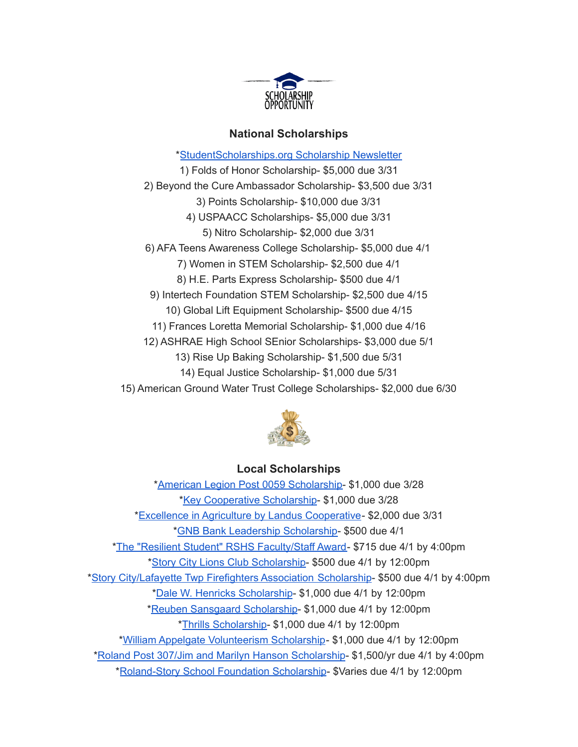

### **National Scholarships**

\*[StudentScholarships.org](https://drive.google.com/file/d/1aKuYCxaIenxt8B4T0eqnsOyNXu4NmKys/view?usp=sharing) Scholarship Newsletter 1) Folds of Honor Scholarship- \$5,000 due 3/31 2) Beyond the Cure Ambassador Scholarship- \$3,500 due 3/31 3) Points Scholarship- \$10,000 due 3/31 4) USPAACC Scholarships- \$5,000 due 3/31 5) Nitro Scholarship- \$2,000 due 3/31 6) AFA Teens Awareness College Scholarship- \$5,000 due 4/1 7) Women in STEM Scholarship- \$2,500 due 4/1 8) H.E. Parts Express Scholarship- \$500 due 4/1 9) Intertech Foundation STEM Scholarship- \$2,500 due 4/15 10) Global Lift Equipment Scholarship- \$500 due 4/15 11) Frances Loretta Memorial Scholarship- \$1,000 due 4/16 12) ASHRAE High School SEnior Scholarships- \$3,000 due 5/1 13) Rise Up Baking Scholarship- \$1,500 due 5/31 14) Equal Justice Scholarship- \$1,000 due 5/31 15) American Ground Water Trust College Scholarships- \$2,000 due 6/30



## **Local Scholarships**

\*American Legion Post 0059 [Scholarship-](https://docs.google.com/document/d/1l-XzWNNfwZmA3zDkeW8VPeqqzYTnZ3IFLE4h0i05GGI/edit?usp=sharing) \$1,000 due 3/28 \*Key [Cooperative](https://storcoopmediafilesprd.blob.core.windows.net/atlasportals/all-media/keycoope/website/documents/2021-2022-scholarship-packet.pdf) Scholarship- \$1,000 due 3/28 \*Excellence in Agriculture by Landus [Cooperative](https://www.landuscooperative.com/about-us/community/excellence-in-ag-scholarship-application)- \$2,000 due 3/31 \*GNB Bank Leadership [Scholarship-](https://www.gnbbank.com/resources/story-city-leadership-scholarship) \$500 due 4/1 \*The "Resilient Student" RSHS [Faculty/Staff](https://docs.google.com/document/d/1DolWUUWkhc9uRV9cDZrlwnYTIr44UcPiFxY4Xkupsj0/edit?usp=sharing) Award- \$715 due 4/1 by 4:00pm \*Story City Lions Club [Scholarship](https://docs.google.com/document/d/1z7ucMbK4WEvvNb9NVBe3FD28h53iTSawX8qWUl0m6oA/edit?usp=sharing)- \$500 due 4/1 by 12:00pm \*Story [City/Lafayette](https://docs.google.com/document/d/1DRZOK0yQEV5eI7SDx7LBRARU3wUClkRxSl4DFl1TSOU/edit?usp=sharing) Twp Firefighters Association Scholarship- \$500 due 4/1 by 4:00pm \*Dale W. Henricks [Scholarship](https://docs.google.com/document/d/1QlRIHdvRzmxNbdfucF4hyEJ2MzvAer_LqN1C1bAIIOk/edit?usp=sharing)- \$1,000 due 4/1 by 12:00pm \*Reuben Sansgaard [Scholarship](https://docs.google.com/document/d/1LR2RwFYr7AG3FUyGWVx12ymv-TE93qQbHet9jzHKVyU/edit?usp=sharing)- \$1,000 due 4/1 by 12:00pm \*Thrills [Scholarship-](https://docs.google.com/document/d/1QJta3C5yzfZrCdazRN4EIHX3l1EGl8av38jpxH3JqyU/edit?usp=sharing) \$1,000 due 4/1 by 12:00pm \*William Appelgate [Volunteerism](https://docs.google.com/document/d/1w4rNFOTwAFqpjEvS-51FwYbhvd6fQvigs1578zBW-tw/edit?usp=sharing) Scholarship- \$1,000 due 4/1 by 12:00pm \*Roland Post 307/Jim and Marilyn Hanson [Scholarship](https://docs.google.com/document/d/1hGUuBTFqrA-IeXjmN94zoUkQR-ErMDrUDyJX0Yc3fx0/edit?usp=sharing)- \$1,500/yr due 4/1 by 4:00pm \*[Roland-Story](https://docs.google.com/document/d/1L-tgrmtRhI17mbAynBf7wRqcn4feF0ftZ4YQ7eolHUI/edit?usp=sharing) School Foundation Scholarship- \$Varies due 4/1 by 12:00pm